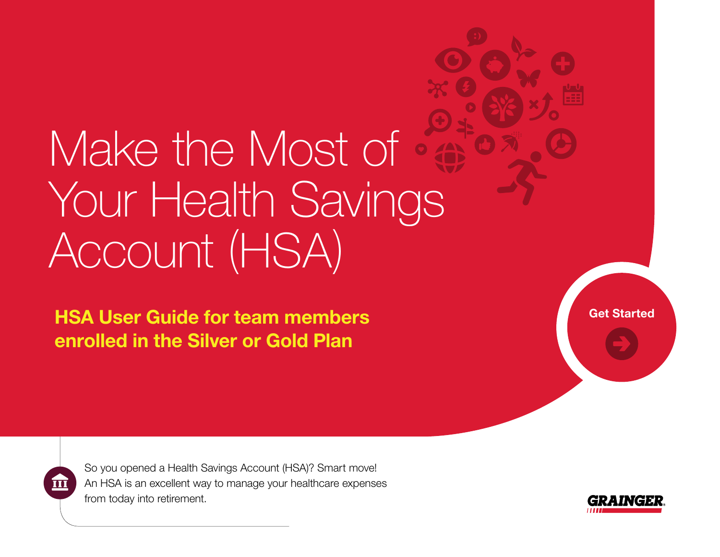# Make the Most of Your Health Savings Account (HSA)

HSA User Guide for team members enrolled in the Silver or Gold Plan

[Get Started](#page-1-0)



So you opened a Health Savings Account (HSA)? Smart move! An HSA is an excellent way to manage your healthcare expenses from today into retirement.

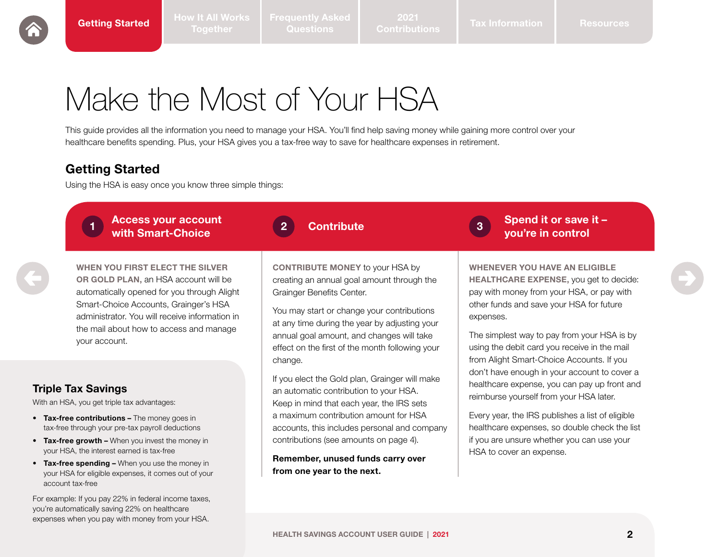[Frequently Asked](#page-3-0) 

2021

### <span id="page-1-0"></span>Make the Most of Your HSA

This guide provides all the information you need to manage your HSA. You'll find help saving money while gaining more control over your healthcare benefits spending. Plus, your HSA gives you a tax-free way to save for healthcare expenses in retirement.

#### Getting Started

Using the HSA is easy once you know three simple things:



| <b>Access your account</b><br>with Smart-Choice |  | 2 Contribute |  | $\bigcap_{3}$ Spend it or save it -<br>vou're in control |
|-------------------------------------------------|--|--------------|--|----------------------------------------------------------|
|-------------------------------------------------|--|--------------|--|----------------------------------------------------------|

WHEN YOU FIRST ELECT THE SILVER OR GOLD PLAN, an HSA account will be automatically opened for you through Alight Smart-Choice Accounts, Grainger's HSA administrator. You will receive information in the mail about how to access and manage your account.

#### Triple Tax Savings

With an HSA, you get triple tax advantages:

- Tax-free contributions The money goes in tax-free through your pre-tax payroll deductions
- Tax-free growth When you invest the money in your HSA, the interest earned is tax-free
- Tax-free spending When you use the money in your HSA for eligible expenses, it comes out of your account tax-free

For example: If you pay 22% in federal income taxes, you're automatically saving 22% on healthcare expenses when you pay with money from your HSA.

CONTRIBUTE MONEY to your HSA by creating an annual goal amount through the Grainger Benefits Center.

You may start or change your contributions at any time during the year by adjusting your annual goal amount, and changes will take effect on the first of the month following your change.

If you elect the Gold plan, Grainger will make an automatic contribution to your HSA. Keep in mind that each year, the IRS sets a maximum contribution amount for HSA accounts, this includes personal and company contributions (see amounts on page 4).

Remember, unused funds carry over from one year to the next.

WHENEVER YOU HAVE AN ELIGIBLE HEALTHCARE EXPENSE, you get to decide: pay with money from your HSA, or pay with other funds and save your HSA for future expenses.

The simplest way to pay from your HSA is by using the debit card you receive in the mail from Alight Smart-Choice Accounts. If you don't have enough in your account to cover a healthcare expense, you can pay up front and reimburse yourself from your HSA later.

Every year, the IRS publishes a list of eligible healthcare expenses, so double check the list if you are unsure whether you can use your HSA to cover an expense.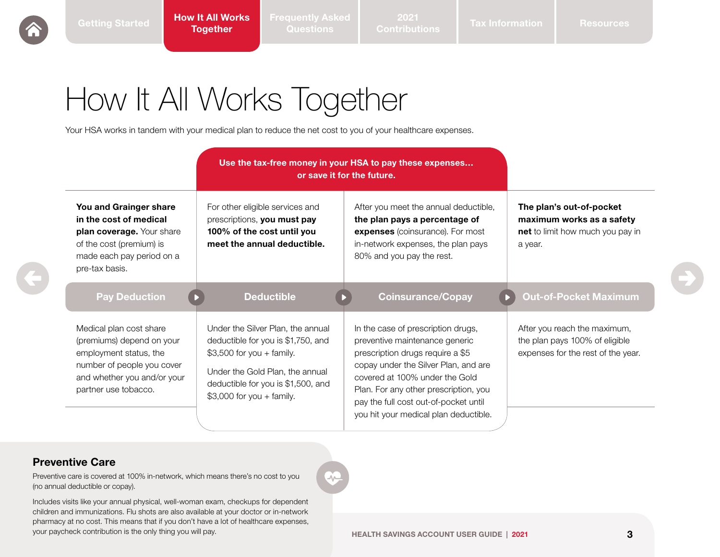2021

## <span id="page-2-0"></span>How It All Works Together

Your HSA works in tandem with your medical plan to reduce the net cost to you of your healthcare expenses.

| Use the tax-free money in your HSA to pay these expenses<br>or save it for the future.                                                                              |                                                                                                                                                                                                              |                                                                                                                                                                                                                                                                                                               |                                                                                                      |
|---------------------------------------------------------------------------------------------------------------------------------------------------------------------|--------------------------------------------------------------------------------------------------------------------------------------------------------------------------------------------------------------|---------------------------------------------------------------------------------------------------------------------------------------------------------------------------------------------------------------------------------------------------------------------------------------------------------------|------------------------------------------------------------------------------------------------------|
| You and Grainger share<br>in the cost of medical<br>plan coverage. Your share<br>of the cost (premium) is<br>made each pay period on a<br>pre-tax basis.            | For other eligible services and<br>prescriptions, you must pay<br>100% of the cost until you<br>meet the annual deductible.                                                                                  | After you meet the annual deductible,<br>the plan pays a percentage of<br>expenses (coinsurance). For most<br>in-network expenses, the plan pays<br>80% and you pay the rest.                                                                                                                                 | The plan's out-of-pocket<br>maximum works as a safety<br>net to limit how much you pay in<br>a year. |
| <b>Pay Deduction</b>                                                                                                                                                | <b>Deductible</b>                                                                                                                                                                                            | <b>Coinsurance/Copay</b>                                                                                                                                                                                                                                                                                      | <b>Out-of-Pocket Maximum</b>                                                                         |
| Medical plan cost share<br>(premiums) depend on your<br>employment status, the<br>number of people you cover<br>and whether you and/or your<br>partner use tobacco. | Under the Silver Plan, the annual<br>deductible for you is \$1,750, and<br>$$3,500$ for you + family.<br>Under the Gold Plan, the annual<br>deductible for you is \$1,500, and<br>$$3,000$ for you + family. | In the case of prescription drugs,<br>preventive maintenance generic<br>prescription drugs require a \$5<br>copay under the Silver Plan, and are<br>covered at 100% under the Gold<br>Plan. For any other prescription, you<br>pay the full cost out-of-pocket until<br>you hit your medical plan deductible. | After you reach the maximum,<br>the plan pays 100% of eligible<br>expenses for the rest of the year. |

∽

#### Preventive Care

Preventive care is covered at 100% in-network, which means there's no cost to you (no annual deductible or copay).

your paycheck contribution is the only thing you will pay. 3 **3 3 HEALTH SAVINGS ACCOUNT USER GUIDE** | 2021 Includes visits like your annual physical, well-woman exam, checkups for dependent children and immunizations. Flu shots are also available at your doctor or in-network pharmacy at no cost. This means that if you don't have a lot of healthcare expenses,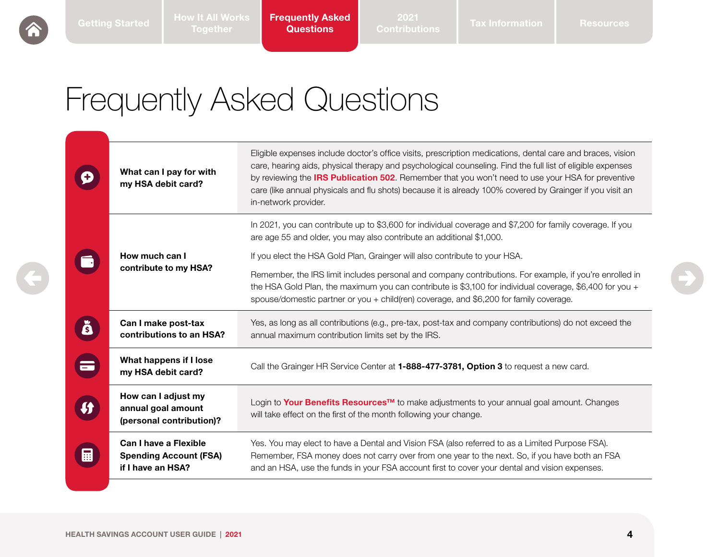<span id="page-3-0"></span>

Frequently Asked **Questions** 

### Frequently Asked Questions

|          | What can I pay for with<br>my HSA debit card?                               | Eligible expenses include doctor's office visits, prescription medications, dental care and braces, vision<br>care, hearing aids, physical therapy and psychological counseling. Find the full list of eligible expenses<br>by reviewing the <b>IRS Publication 502</b> . Remember that you won't need to use your HSA for preventive<br>care (like annual physicals and flu shots) because it is already 100% covered by Grainger if you visit an<br>in-network provider. |  |
|----------|-----------------------------------------------------------------------------|----------------------------------------------------------------------------------------------------------------------------------------------------------------------------------------------------------------------------------------------------------------------------------------------------------------------------------------------------------------------------------------------------------------------------------------------------------------------------|--|
|          |                                                                             | In 2021, you can contribute up to \$3,600 for individual coverage and \$7,200 for family coverage. If you<br>are age 55 and older, you may also contribute an additional \$1,000.                                                                                                                                                                                                                                                                                          |  |
|          | How much can I<br>contribute to my HSA?                                     | If you elect the HSA Gold Plan, Grainger will also contribute to your HSA.                                                                                                                                                                                                                                                                                                                                                                                                 |  |
|          |                                                                             | Remember, the IRS limit includes personal and company contributions. For example, if you're enrolled in<br>the HSA Gold Plan, the maximum you can contribute is \$3,100 for individual coverage, \$6,400 for you +<br>spouse/domestic partner or you + child(ren) coverage, and \$6,200 for family coverage.                                                                                                                                                               |  |
| Ă        | Can I make post-tax<br>contributions to an HSA?                             | Yes, as long as all contributions (e.g., pre-tax, post-tax and company contributions) do not exceed the<br>annual maximum contribution limits set by the IRS.                                                                                                                                                                                                                                                                                                              |  |
| $\equiv$ | What happens if I lose<br>my HSA debit card?                                | Call the Grainger HR Service Center at 1-888-477-3781, Option 3 to request a new card.                                                                                                                                                                                                                                                                                                                                                                                     |  |
|          | How can I adjust my<br>annual goal amount<br>(personal contribution)?       | Login to Your Benefits Resources™ to make adjustments to your annual goal amount. Changes<br>will take effect on the first of the month following your change.                                                                                                                                                                                                                                                                                                             |  |
| 的        | Can I have a Flexible<br><b>Spending Account (FSA)</b><br>if I have an HSA? | Yes. You may elect to have a Dental and Vision FSA (also referred to as a Limited Purpose FSA).<br>Remember, FSA money does not carry over from one year to the next. So, if you have both an FSA<br>and an HSA, use the funds in your FSA account first to cover your dental and vision expenses.                                                                                                                                                                         |  |
|          |                                                                             |                                                                                                                                                                                                                                                                                                                                                                                                                                                                            |  |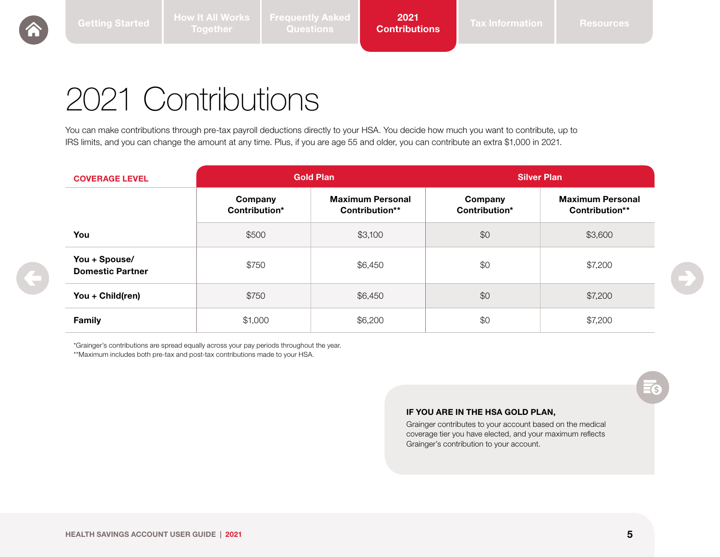### <span id="page-4-0"></span>2021 Contributions

You can make contributions through pre-tax payroll deductions directly to your HSA. You decide how much you want to contribute, up to IRS limits, and you can change the amount at any time. Plus, if you are age 55 and older, you can contribute an extra \$1,000 in 2021.

| <b>COVERAGE LEVEL</b>                    | <b>Gold Plan</b>         |                                           | <b>Silver Plan</b>       |                                           |
|------------------------------------------|--------------------------|-------------------------------------------|--------------------------|-------------------------------------------|
|                                          | Company<br>Contribution* | <b>Maximum Personal</b><br>Contribution** | Company<br>Contribution* | <b>Maximum Personal</b><br>Contribution** |
| You                                      | \$500                    | \$3,100                                   | \$0                      | \$3,600                                   |
| You + Spouse/<br><b>Domestic Partner</b> | \$750                    | \$6,450                                   | \$0                      | \$7,200                                   |
| You + Child(ren)                         | \$750                    | \$6,450                                   | \$0                      | \$7,200                                   |
| <b>Family</b>                            | \$1,000                  | \$6,200                                   | \$0                      | \$7,200                                   |

\*Grainger's contributions are spread equally across your pay periods throughout the year. \*\*Maximum includes both pre-tax and post-tax contributions made to your HSA.

#### IF YOU ARE IN THE HSA GOLD PLAN,

Grainger contributes to your account based on the medical coverage tier you have elected, and your maximum reflects Grainger's contribution to your account.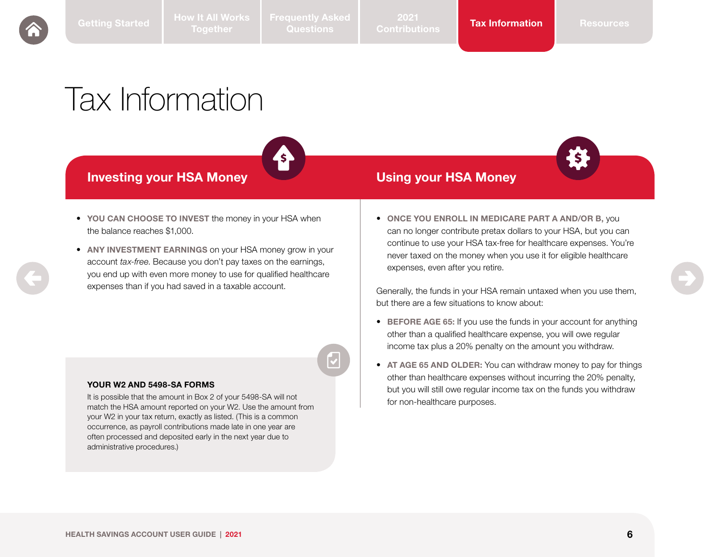## <span id="page-5-0"></span>Tax Information



Investing your HSA Money Using your HSA Money



- YOU CAN CHOOSE TO INVEST the money in your HSA when the balance reaches \$1,000.
- ANY INVESTMENT EARNINGS on your HSA money grow in your account *tax-free*. Because you don't pay taxes on the earnings, you end up with even more money to use for qualified healthcare expenses than if you had saved in a taxable account.

#### YOUR W2 AND 5498-SA FORMS

It is possible that the amount in Box 2 of your 5498-SA will not match the HSA amount reported on your W2. Use the amount from your W2 in your tax return, exactly as listed. (This is a common occurrence, as payroll contributions made late in one year are often processed and deposited early in the next year due to administrative procedures.)

• ONCE YOU ENROLL IN MEDICARE PART A AND/OR B, you can no longer contribute pretax dollars to your HSA, but you can continue to use your HSA tax-free for healthcare expenses. You're never taxed on the money when you use it for eligible healthcare expenses, even after you retire.

Generally, the funds in your HSA remain untaxed when you use them, but there are a few situations to know about:

- BEFORE AGE 65: If you use the funds in your account for anything other than a qualified healthcare expense, you will owe regular income tax plus a 20% penalty on the amount you withdraw.
- AT AGE 65 AND OLDER: You can withdraw money to pay for things other than healthcare expenses without incurring the 20% penalty, but you will still owe regular income tax on the funds you withdraw for non-healthcare purposes.